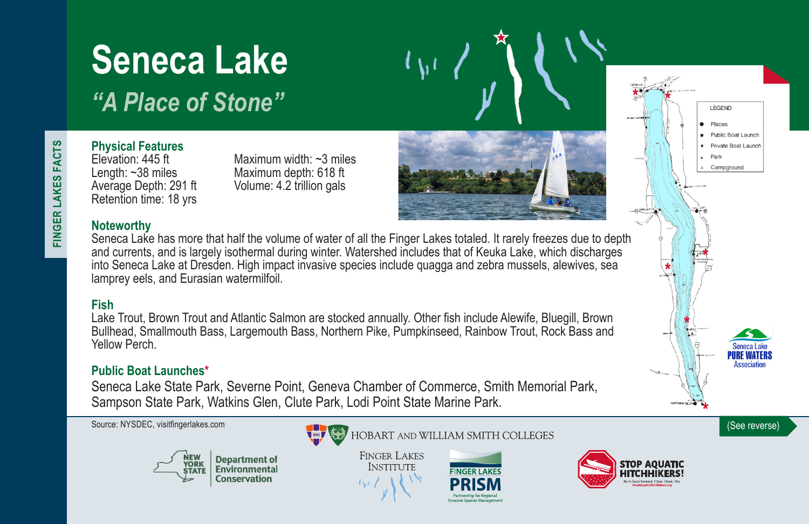# **Seneca Lake**

*"A Place of Stone"*

# **Physical Features**

Length: ~38 miles Maximum depth: 618 ft<br>Average Depth: 291 ft Volume: 4.2 trillion gals Retention time: 18 yrs

Elevation: 445 ft Maximum width: ~3 miles Volume: 4.2 trillion gals

## **Noteworthy**

Seneca Lake has more that half the volume of water of all the Finger Lakes totaled. It rarely freezes due to depth and currents, and is largely isothermal during winter. Watershed includes that of Keuka Lake, which discharges into Seneca Lake at Dresden. High impact invasive species include quagga and zebra mussels, alewives, sea lamprey eels, and Eurasian watermilfoil.

# **Fish**

Lake Trout, Brown Trout and Atlantic Salmon are stocked annually. Other fish include Alewife, Bluegill, Brown Bullhead, Smallmouth Bass, Largemouth Bass, Northern Pike, Pumpkinseed, Rainbow Trout, Rock Bass and Yellow Perch.

### **Public Boat Launches\***

Seneca Lake State Park, Severne Point, Geneva Chamber of Commerce, Smith Memorial Park, Sampson State Park, Watkins Glen, Clute Park, Lodi Point State Marine Park.





**FINGER LAKES INSTITUTE** 





LEGEND Places Public Boat Launch Private Boat Launch Park Campground

FINGER LAKES FACTS **FINGER LAKES FACTS**